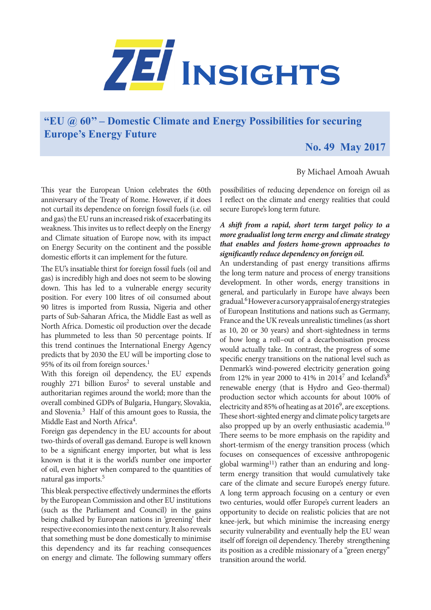

# **"EU @ 60'' – Domestic Climate and Energy Possibilities for securing Europe's Energy Future**

# **No. 49 May 2017**

## By Michael Amoah Awuah

This year the European Union celebrates the 60th anniversary of the Treaty of Rome. However, if it does not curtail its dependence on foreign fossil fuels (i.e. oil and gas) the EU runs an increased risk of exacerbating its weakness. This invites us to reflect deeply on the Energy and Climate situation of Europe now, with its impact on Energy Security on the continent and the possible domestic efforts it can implement for the future.

The EU's insatiable thirst for foreign fossil fuels (oil and gas) is incredibly high and does not seem to be slowing down. This has led to a vulnerable energy security position. For every 100 litres of oil consumed about 90 litres is imported from Russia, Nigeria and other parts of Sub-Saharan Africa, the Middle East as well as North Africa. Domestic oil production over the decade has plummeted to less than 50 percentage points. If this trend continues the International Energy Agency predicts that by 2030 the EU will be importing close to 95% of its oil from foreign sources.<sup>1</sup>

With this foreign oil dependency, the EU expends roughly 271 billion Euros<sup>2</sup> to several unstable and authoritarian regimes around the world; more than the overall combined GDPs of Bulgaria, Hungary, Slovakia, and Slovenia.<sup>3</sup> Half of this amount goes to Russia, the Middle East and North Africa<sup>4</sup>.

Foreign gas dependency in the EU accounts for about two-thirds of overall gas demand. Europe is well known to be a significant energy importer, but what is less known is that it is the world's number one importer of oil, even higher when compared to the quantities of natural gas imports.5

This bleak perspective effectively undermines the efforts by the European Commission and other EU institutions (such as the Parliament and Council) in the gains being chalked by European nations in 'greening' their respective economies into the next century. It also reveals that something must be done domestically to minimise this dependency and its far reaching consequences on energy and climate. The following summary offers

possibilities of reducing dependence on foreign oil as I reflect on the climate and energy realities that could secure Europe's long term future.

### *A shift from a rapid, short term target policy to a more gradualist long term energy and climate strategy that enables and fosters home-grown approaches to significantly reduce dependency on foreign oil.*

An understanding of past energy transitions affirms the long term nature and process of energy transitions development. In other words, energy transitions in general, and particularly in Europe have always been gradual.<sup>6</sup> However a cursory appraisal of energy strategies of European Institutions and nations such as Germany, France and the UK reveals unrealistic timelines (as short as 10, 20 or 30 years) and short-sightedness in terms of how long a roll–out of a decarbonisation process would actually take. In contrast, the progress of some specific energy transitions on the national level such as Denmark's wind-powered electricity generation going from 12% in year 2000 to 41% in 2014<sup>7</sup> and Iceland's<sup>8</sup> renewable energy (that is Hydro and Geo-thermal) production sector which accounts for about 100% of electricity and 85% of heating as at 2016<sup>9</sup>, are exceptions. These short-sighted energy and climate policy targets are also propped up by an overly enthusiastic academia.10 There seems to be more emphasis on the rapidity and short-termism of the energy transition process (which focuses on consequences of excessive anthropogenic global warming<sup>11</sup>) rather than an enduring and longterm energy transition that would cumulatively take care of the climate and secure Europe's energy future. A long term approach focusing on a century or even two centuries, would offer Europe's current leaders an opportunity to decide on realistic policies that are not knee-jerk, but which minimise the increasing energy security vulnerability and eventually help the EU wean itself off foreign oil dependency. Thereby strengthening its position as a credible missionary of a "green energy'' transition around the world.